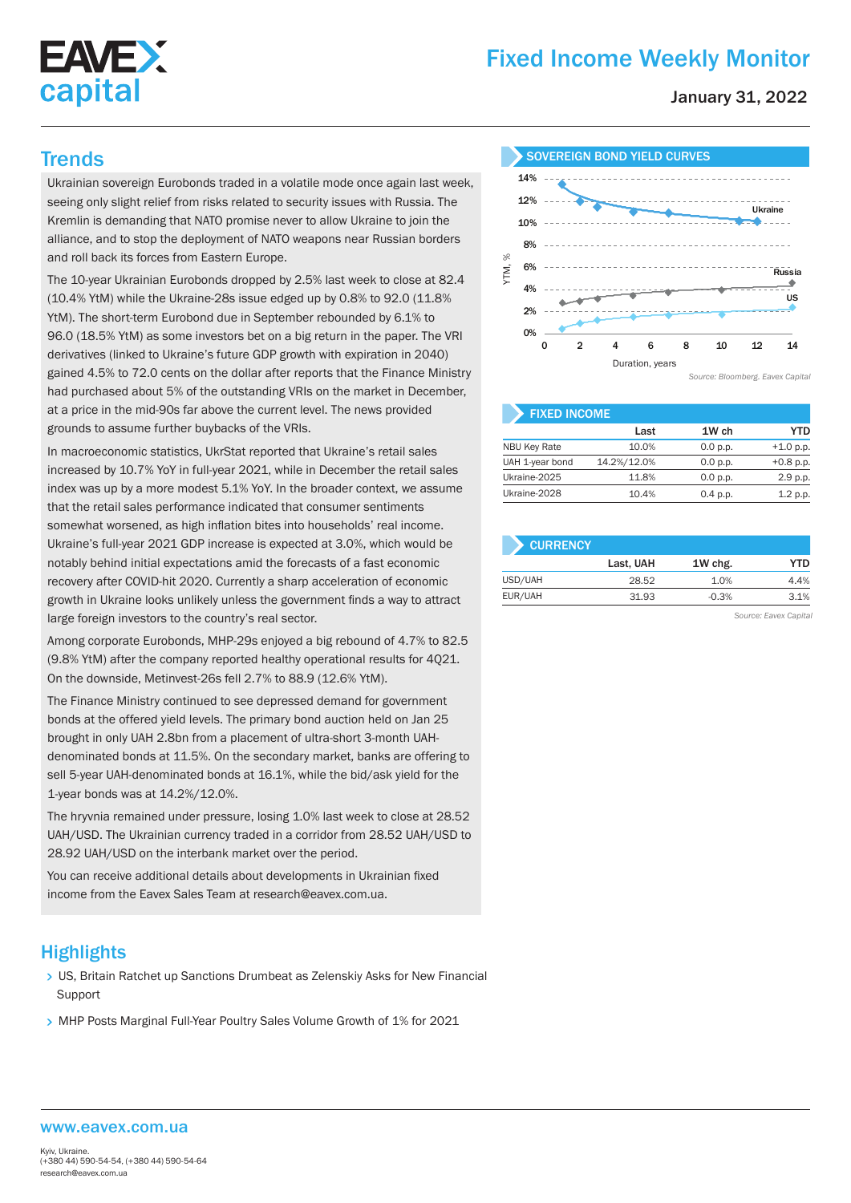

# Fixed Income Weekly Monitor

January 31, 2022

Ukrainian sovereign Eurobonds traded in a volatile mode once again last week, seeing only slight relief from risks related to security issues with Russia. The Kremlin is demanding that NATO promise never to allow Ukraine to join the alliance, and to stop the deployment of NATO weapons near Russian borders and roll back its forces from Eastern Europe.

The 10-year Ukrainian Eurobonds dropped by 2.5% last week to close at 82.4 (10.4% YtM) while the Ukraine-28s issue edged up by 0.8% to 92.0 (11.8% YtM). The short-term Eurobond due in September rebounded by 6.1% to 96.0 (18.5% YtM) as some investors bet on a big return in the paper. The VRI derivatives (linked to Ukraine's future GDP growth with expiration in 2040) gained 4.5% to 72.0 cents on the dollar after reports that the Finance Ministry had purchased about 5% of the outstanding VRIs on the market in December, at a price in the mid-90s far above the current level. The news provided grounds to assume further buybacks of the VRIs.

In macroeconomic statistics, UkrStat reported that Ukraine's retail sales increased by 10.7% YoY in full-year 2021, while in December the retail sales index was up by a more modest 5.1% YoY. In the broader context, we assume that the retail sales performance indicated that consumer sentiments somewhat worsened, as high inflation bites into households' real income. Ukraine's full-year 2021 GDP increase is expected at 3.0%, which would be notably behind initial expectations amid the forecasts of a fast economic recovery after COVID-hit 2020. Currently a sharp acceleration of economic growth in Ukraine looks unlikely unless the government finds a way to attract large foreign investors to the country's real sector.

Among corporate Eurobonds, MHP-29s enjoyed a big rebound of 4.7% to 82.5 (9.8% YtM) after the company reported healthy operational results for 4Q21. On the downside, Metinvest-26s fell 2.7% to 88.9 (12.6% YtM).

The Finance Ministry continued to see depressed demand for government bonds at the offered yield levels. The primary bond auction held on Jan 25 brought in only UAH 2.8bn from a placement of ultra-short 3-month UAHdenominated bonds at 11.5%. On the secondary market, banks are offering to sell 5-year UAH-denominated bonds at 16.1%, while the bid/ask yield for the 1-year bonds was at 14.2%/12.0%.

The hryvnia remained under pressure, losing 1.0% last week to close at 28.52 UAH/USD. The Ukrainian currency traded in a corridor from 28.52 UAH/USD to 28.92 UAH/USD on the interbank market over the period.

You can receive additional details about developments in Ukrainian fixed income from the Eavex Sales Team at research@eavex.com.ua.

## **Highlights**

- US, Britain Ratchet up Sanctions Drumbeat as Zelenskiy Asks for New Financial **Support**
- > MHP Posts Marginal Full-Year Poultry Sales Volume Growth of 1% for 2021



| <b>FIXED INCOME.</b> |             |          |             |  |  |  |  |
|----------------------|-------------|----------|-------------|--|--|--|--|
|                      | Last        | 1W ch    | YTD         |  |  |  |  |
| <b>NBU Key Rate</b>  | 10.0%       | 0.0 p.p. | $+1.0 p.p.$ |  |  |  |  |
| UAH 1-year bond      | 14.2%/12.0% | 0.0 p.p. | $+0.8$ p.p. |  |  |  |  |
| Ukraine-2025         | 11.8%       | 0.0 p.p. | 2.9 p.p.    |  |  |  |  |
| Ukraine-2028         | 10.4%       | 0.4 p.p. | 1.2 p.p.    |  |  |  |  |

| <b>CURRENCY</b> |           |         |      |
|-----------------|-----------|---------|------|
|                 | Last, UAH | 1W chg. | YTD  |
| USD/UAH         | 28.52     | 1.0%    | 4.4% |
| EUR/UAH         | 31.93     | $-0.3%$ | 3.1% |

*Source: Eavex Capital*

#### www.eavex.com.ua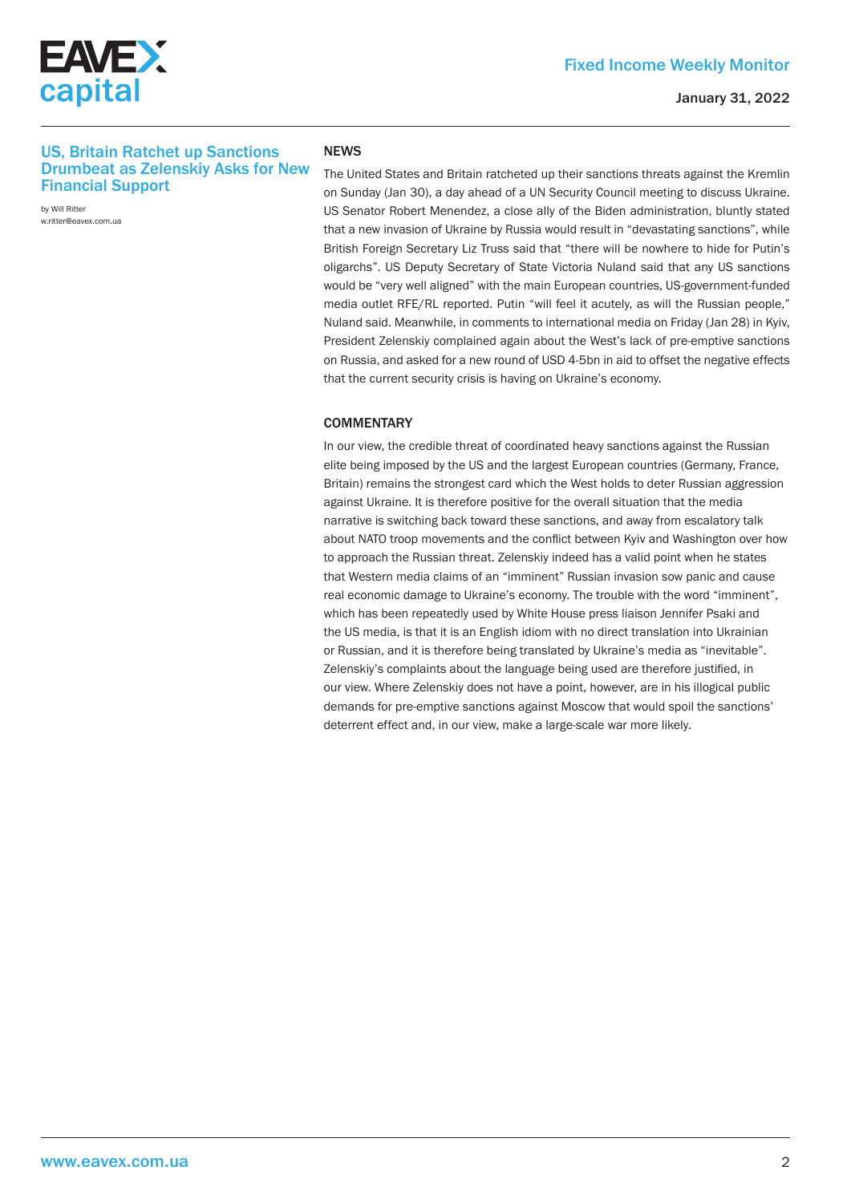



### January 31, 2022

## US, Britain Ratchet up Sanctions Drumbeat as Zelenskiy Asks for New Financial Support

by Will Ritter w.ritter@eavex.com.ua

#### **NFWS**

The United States and Britain ratcheted up their sanctions threats against the Kremlin on Sunday (Jan 30), a day ahead of a UN Security Council meeting to discuss Ukraine. US Senator Robert Menendez, a close ally of the Biden administration, bluntly stated that a new invasion of Ukraine by Russia would result in "devastating sanctions", while British Foreign Secretary Liz Truss said that "there will be nowhere to hide for Putin's oligarchs". US Deputy Secretary of State Victoria Nuland said that any US sanctions would be "very well aligned" with the main European countries, US-government-funded media outlet RFE/RL reported. Putin "will feel it acutely, as will the Russian people," Nuland said. Meanwhile, in comments to international media on Friday (Jan 28) in Kyiv, President Zelenskiy complained again about the West's lack of pre-emptive sanctions on Russia, and asked for a new round of USD 4-5bn in aid to offset the negative effects that the current security crisis is having on Ukraine's economy.

#### **COMMENTARY**

In our view, the credible threat of coordinated heavy sanctions against the Russian elite being imposed by the US and the largest European countries (Germany, France, Britain) remains the strongest card which the West holds to deter Russian aggression against Ukraine. It is therefore positive for the overall situation that the media narrative is switching back toward these sanctions, and away from escalatory talk about NATO troop movements and the conflict between Kyiv and Washington over how to approach the Russian threat. Zelenskiy indeed has a valid point when he states that Western media claims of an "imminent" Russian invasion sow panic and cause real economic damage to Ukraine's economy. The trouble with the word "imminent", which has been repeatedly used by White House press liaison Jennifer Psaki and the US media, is that it is an English idiom with no direct translation into Ukrainian or Russian, and it is therefore being translated by Ukraine's media as "inevitable". Zelenskiy's complaints about the language being used are therefore justified, in our view. Where Zelenskiy does not have a point, however, are in his illogical public demands for pre-emptive sanctions against Moscow that would spoil the sanctions' deterrent effect and, in our view, make a large-scale war more likely.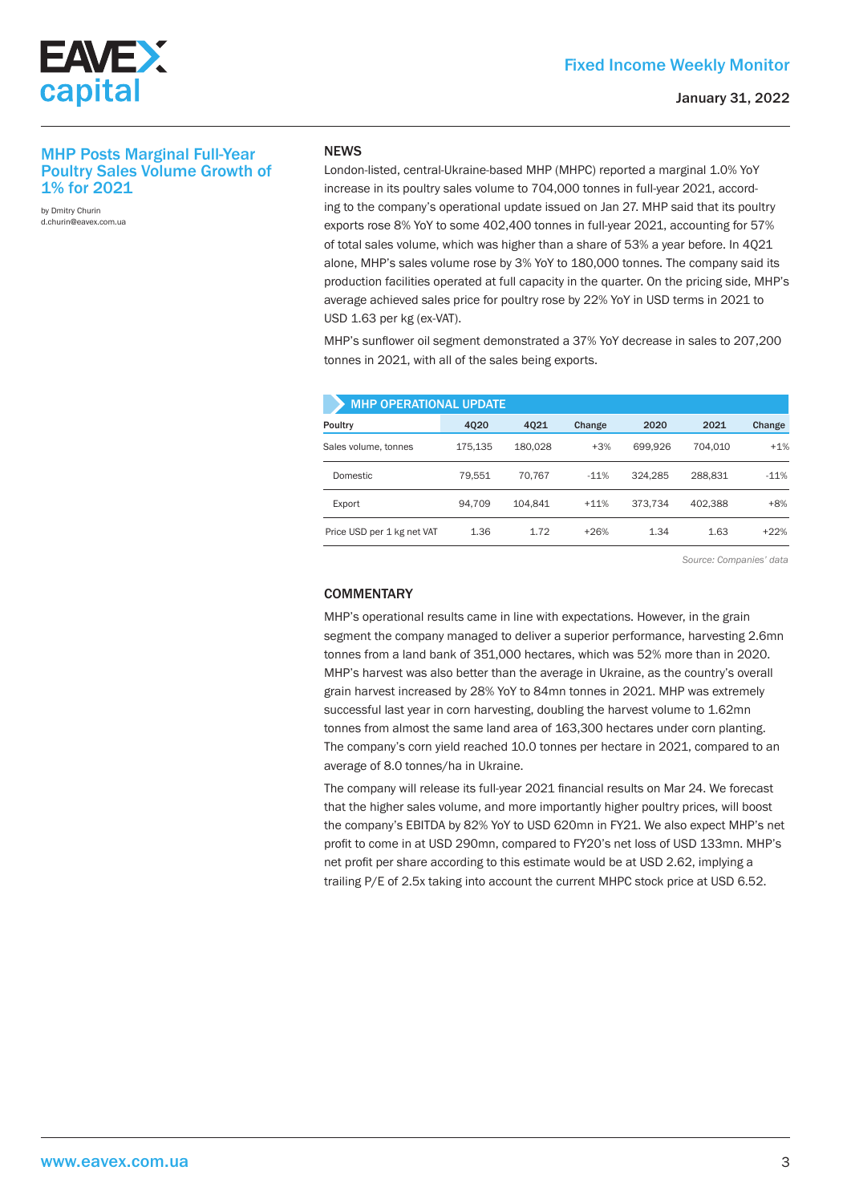

### January 31, 2022

## MHP Posts Marginal Full-Year Poultry Sales Volume Growth of 1% for 2021

by Dmitry Churin d.churin@eavex.com.ua

### **NEWS**

London-listed, central-Ukraine-based MHP (MHPC) reported a marginal 1.0% YoY increase in its poultry sales volume to 704,000 tonnes in full-year 2021, according to the company's operational update issued on Jan 27. MHP said that its poultry exports rose 8% YoY to some 402,400 tonnes in full-year 2021, accounting for 57% of total sales volume, which was higher than a share of 53% a year before. In 4Q21 alone, MHP's sales volume rose by 3% YoY to 180,000 tonnes. The company said its production facilities operated at full capacity in the quarter. On the pricing side, MHP's average achieved sales price for poultry rose by 22% YoY in USD terms in 2021 to USD 1.63 per kg (ex-VAT).

MHP's sunflower oil segment demonstrated a 37% YoY decrease in sales to 207,200 tonnes in 2021, with all of the sales being exports.

| <b>MHP OPERATIONAL UPDATE</b> |         |         |        |         |         |        |  |  |  |
|-------------------------------|---------|---------|--------|---------|---------|--------|--|--|--|
| Poultry                       | 4020    | 4021    | Change | 2020    | 2021    | Change |  |  |  |
| Sales volume, tonnes          | 175.135 | 180.028 | $+3%$  | 699.926 | 704.010 | $+1%$  |  |  |  |
| Domestic                      | 79.551  | 70.767  | $-11%$ | 324.285 | 288.831 | $-11%$ |  |  |  |
| Export                        | 94.709  | 104.841 | $+11%$ | 373.734 | 402.388 | $+8%$  |  |  |  |
| Price USD per 1 kg net VAT    | 1.36    | 1.72    | $+26%$ | 1.34    | 1.63    | $+22%$ |  |  |  |

*Source: Companies' data*

### **COMMENTARY**

MHP's operational results came in line with expectations. However, in the grain segment the company managed to deliver a superior performance, harvesting 2.6mn tonnes from a land bank of 351,000 hectares, which was 52% more than in 2020. MHP's harvest was also better than the average in Ukraine, as the country's overall grain harvest increased by 28% YoY to 84mn tonnes in 2021. MHP was extremely successful last year in corn harvesting, doubling the harvest volume to 1.62mn tonnes from almost the same land area of 163,300 hectares under corn planting. The company's corn yield reached 10.0 tonnes per hectare in 2021, compared to an average of 8.0 tonnes/ha in Ukraine.

The company will release its full-year 2021 financial results on Mar 24. We forecast that the higher sales volume, and more importantly higher poultry prices, will boost the company's EBITDA by 82% YoY to USD 620mn in FY21. We also expect MHP's net profit to come in at USD 290mn, compared to FY20's net loss of USD 133mn. MHP's net profit per share according to this estimate would be at USD 2.62, implying a trailing P/E of 2.5x taking into account the current MHPC stock price at USD 6.52.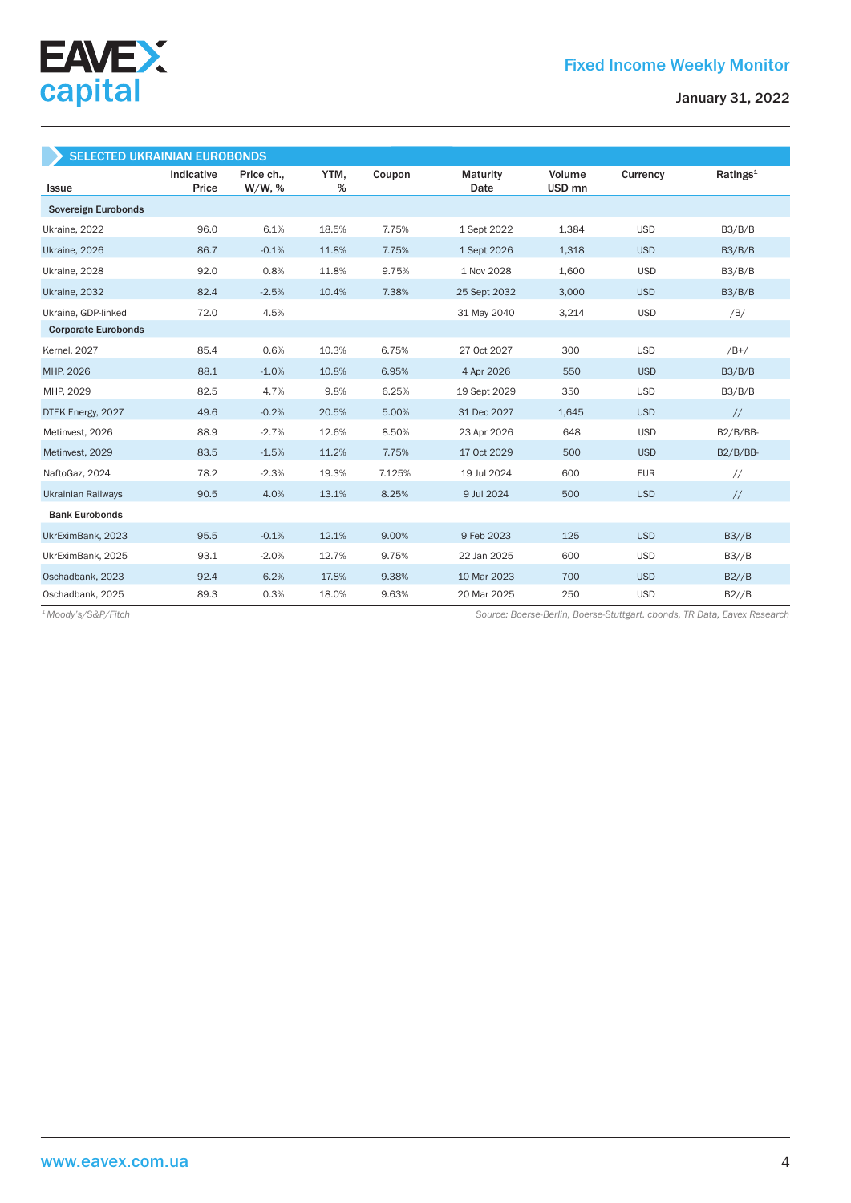

| <b>SELECTED UKRAINIAN EUROBONDS</b> |                     |                         |           |        |                         |                  |            |                      |
|-------------------------------------|---------------------|-------------------------|-----------|--------|-------------------------|------------------|------------|----------------------|
| <b>Issue</b>                        | Indicative<br>Price | Price ch.,<br>$W/W$ , % | YTM,<br>% | Coupon | <b>Maturity</b><br>Date | Volume<br>USD mn | Currency   | Ratings <sup>1</sup> |
| Sovereign Eurobonds                 |                     |                         |           |        |                         |                  |            |                      |
| Ukraine, 2022                       | 96.0                | 6.1%                    | 18.5%     | 7.75%  | 1 Sept 2022             | 1,384            | <b>USD</b> | B3/B/B               |
| Ukraine, 2026                       | 86.7                | $-0.1%$                 | 11.8%     | 7.75%  | 1 Sept 2026             | 1,318            | <b>USD</b> | B3/B/B               |
| Ukraine, 2028                       | 92.0                | 0.8%                    | 11.8%     | 9.75%  | 1 Nov 2028              | 1,600            | <b>USD</b> | B3/B/B               |
| Ukraine, 2032                       | 82.4                | $-2.5%$                 | 10.4%     | 7.38%  | 25 Sept 2032            | 3,000            | <b>USD</b> | B3/B/B               |
| Ukraine, GDP-linked                 | 72.0                | 4.5%                    |           |        | 31 May 2040             | 3,214            | <b>USD</b> | /B/                  |
| <b>Corporate Eurobonds</b>          |                     |                         |           |        |                         |                  |            |                      |
| <b>Kernel</b> , 2027                | 85.4                | 0.6%                    | 10.3%     | 6.75%  | 27 Oct 2027             | 300              | <b>USD</b> | $/B+/$               |
| MHP, 2026                           | 88.1                | $-1.0%$                 | 10.8%     | 6.95%  | 4 Apr 2026              | 550              | <b>USD</b> | B3/B/B               |
| MHP, 2029                           | 82.5                | 4.7%                    | 9.8%      | 6.25%  | 19 Sept 2029            | 350              | <b>USD</b> | B3/B/B               |
| DTEK Energy, 2027                   | 49.6                | $-0.2%$                 | 20.5%     | 5.00%  | 31 Dec 2027             | 1,645            | <b>USD</b> | $\frac{1}{2}$        |
| Metinvest, 2026                     | 88.9                | $-2.7%$                 | 12.6%     | 8.50%  | 23 Apr 2026             | 648              | <b>USD</b> | $B2/B/BB-$           |
| Metinvest, 2029                     | 83.5                | $-1.5%$                 | 11.2%     | 7.75%  | 17 Oct 2029             | 500              | <b>USD</b> | $B2/B/BB-$           |
| NaftoGaz, 2024                      | 78.2                | $-2.3%$                 | 19.3%     | 7.125% | 19 Jul 2024             | 600              | <b>EUR</b> | $\frac{1}{2}$        |
| <b>Ukrainian Railways</b>           | 90.5                | 4.0%                    | 13.1%     | 8.25%  | 9 Jul 2024              | 500              | <b>USD</b> | $\frac{1}{2}$        |
| <b>Bank Eurobonds</b>               |                     |                         |           |        |                         |                  |            |                      |
| UkrEximBank, 2023                   | 95.5                | $-0.1%$                 | 12.1%     | 9.00%  | 9 Feb 2023              | 125              | <b>USD</b> | B3//B                |
| UkrEximBank, 2025                   | 93.1                | $-2.0%$                 | 12.7%     | 9.75%  | 22 Jan 2025             | 600              | <b>USD</b> | B3//B                |
| Oschadbank, 2023                    | 92.4                | 6.2%                    | 17.8%     | 9.38%  | 10 Mar 2023             | 700              | <b>USD</b> | B2//B                |
| Oschadbank, 2025                    | 89.3                | 0.3%                    | 18.0%     | 9.63%  | 20 Mar 2025             | 250              | <b>USD</b> | B2//B                |

*Source: Boerse-Berlin, Boerse-Stuttgart. cbonds, TR Data, Eavex Research 1 Moody's/S&P/Fitch*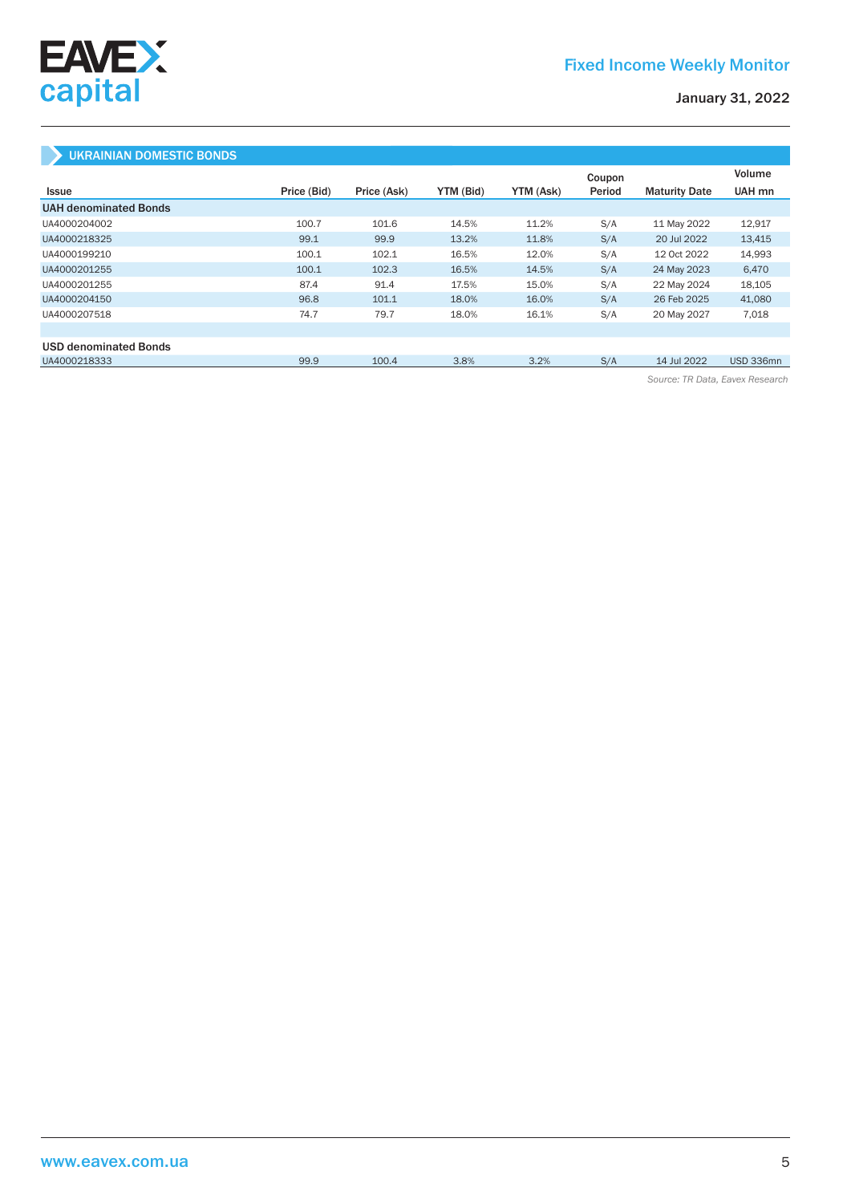

January 31, 2022

## UKRAINIAN DOMESTIC BONDS

|                              |             |             |           |           | Coupon |                      | Volume    |
|------------------------------|-------------|-------------|-----------|-----------|--------|----------------------|-----------|
| Issue                        | Price (Bid) | Price (Ask) | YTM (Bid) | YTM (Ask) | Period | <b>Maturity Date</b> | UAH mn    |
| <b>UAH denominated Bonds</b> |             |             |           |           |        |                      |           |
| UA4000204002                 | 100.7       | 101.6       | 14.5%     | 11.2%     | S/A    | 11 May 2022          | 12,917    |
| UA4000218325                 | 99.1        | 99.9        | 13.2%     | 11.8%     | S/A    | 20 Jul 2022          | 13,415    |
| UA4000199210                 | 100.1       | 102.1       | 16.5%     | 12.0%     | S/A    | 12 Oct 2022          | 14,993    |
| UA4000201255                 | 100.1       | 102.3       | 16.5%     | 14.5%     | S/A    | 24 May 2023          | 6,470     |
| UA4000201255                 | 87.4        | 91.4        | 17.5%     | 15.0%     | S/A    | 22 May 2024          | 18,105    |
| UA4000204150                 | 96.8        | 101.1       | 18.0%     | 16.0%     | S/A    | 26 Feb 2025          | 41,080    |
| UA4000207518                 | 74.7        | 79.7        | 18.0%     | 16.1%     | S/A    | 20 May 2027          | 7,018     |
|                              |             |             |           |           |        |                      |           |
| <b>USD denominated Bonds</b> |             |             |           |           |        |                      |           |
| UA4000218333                 | 99.9        | 100.4       | 3.8%      | 3.2%      | S/A    | 14 Jul 2022          | USD 336mn |

*Source: TR Data, Eavex Research*